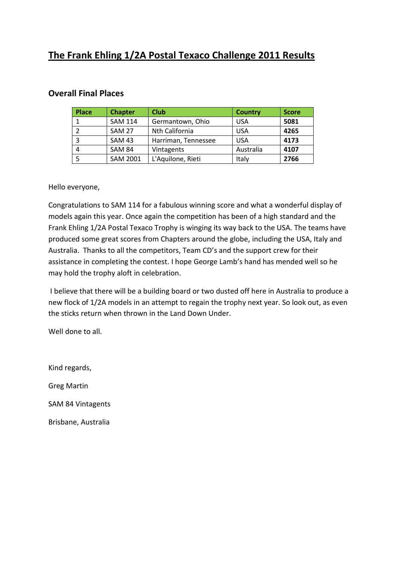# **The Frank Ehling 1/2A Postal Texaco Challenge 2011 Results**

| <b>Place</b> | <b>Chapter</b>  | <b>Club</b>         | <b>Country</b> | <b>Score</b> |
|--------------|-----------------|---------------------|----------------|--------------|
|              | <b>SAM 114</b>  | Germantown, Ohio    | <b>USA</b>     | 5081         |
|              | <b>SAM 27</b>   | Nth California      | <b>USA</b>     | 4265         |
| 3            | <b>SAM 43</b>   | Harriman, Tennessee | <b>USA</b>     | 4173         |
| 4            | <b>SAM 84</b>   | <b>Vintagents</b>   | Australia      | 4107         |
|              | <b>SAM 2001</b> | L'Aquilone, Rieti   | Italv          | 2766         |

#### **Overall Final Places**

Hello everyone,

Congratulations to SAM 114 for a fabulous winning score and what a wonderful display of models again this year. Once again the competition has been of a high standard and the Frank Ehling 1/2A Postal Texaco Trophy is winging its way back to the USA. The teams have produced some great scores from Chapters around the globe, including the USA, Italy and Australia. Thanks to all the competitors, Team CD's and the support crew for their assistance in completing the contest. I hope George Lamb's hand has mended well so he may hold the trophy aloft in celebration.

I believe that there will be a building board or two dusted off here in Australia to produce a new flock of 1/2A models in an attempt to regain the trophy next year. So look out, as even the sticks return when thrown in the Land Down Under.

Well done to all.

Kind regards, Greg Martin SAM 84 Vintagents Brisbane, Australia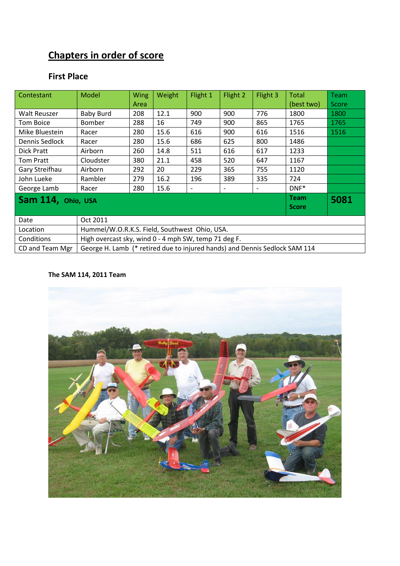# **Chapters in order of score**

# **First Place**

| Contestant                        | Model                                                                      | Wing | Weight | Flight 1                 | Flight 2                 | Flight 3                 | <b>Total</b> | <b>Team</b> |  |  |
|-----------------------------------|----------------------------------------------------------------------------|------|--------|--------------------------|--------------------------|--------------------------|--------------|-------------|--|--|
|                                   |                                                                            | Area |        |                          |                          |                          | (best two)   | Score       |  |  |
| Walt Reuszer                      | <b>Baby Burd</b>                                                           | 208  | 12.1   | 900                      | 900                      | 776                      | 1800         | 1800        |  |  |
| Tom Boice                         | <b>Bomber</b>                                                              | 288  | 16     | 749                      | 900                      | 865                      | 1765         | 1765        |  |  |
| Mike Bluestein                    | Racer                                                                      | 280  | 15.6   | 616                      | 900                      | 616                      | 1516         | 1516        |  |  |
| Dennis Sedlock                    | Racer                                                                      | 280  | 15.6   | 686                      | 625                      | 800                      | 1486         |             |  |  |
| Dick Pratt                        | Airborn                                                                    | 260  | 14.8   | 511                      | 616                      | 617                      | 1233         |             |  |  |
| Tom Pratt                         | Cloudster                                                                  | 380  | 21.1   | 458                      | 520                      | 647                      | 1167         |             |  |  |
| Gary Streifhau                    | Airborn                                                                    | 292  | 20     | 229                      | 365                      | 755                      | 1120         |             |  |  |
| John Lueke                        | Rambler                                                                    | 279  | 16.2   | 196                      | 389                      | 335                      | 724          |             |  |  |
| George Lamb                       | Racer                                                                      | 280  | 15.6   | $\overline{\phantom{a}}$ | $\overline{\phantom{0}}$ | $\overline{\phantom{a}}$ | $DNF^*$      |             |  |  |
| <b>Team</b><br>Sam 114, Ohio, USA |                                                                            |      |        |                          |                          |                          |              | 5081        |  |  |
|                                   | <b>Score</b>                                                               |      |        |                          |                          |                          |              |             |  |  |
| Date                              | Oct 2011                                                                   |      |        |                          |                          |                          |              |             |  |  |
| Location                          | Hummel/W.O.R.K.S. Field, Southwest Ohio, USA.                              |      |        |                          |                          |                          |              |             |  |  |
| Conditions                        | High overcast sky, wind 0 - 4 mph SW, temp 71 deg F.                       |      |        |                          |                          |                          |              |             |  |  |
| CD and Team Mgr                   | George H. Lamb (* retired due to injured hands) and Dennis Sedlock SAM 114 |      |        |                          |                          |                          |              |             |  |  |

#### **The SAM 114, 2011 Team**

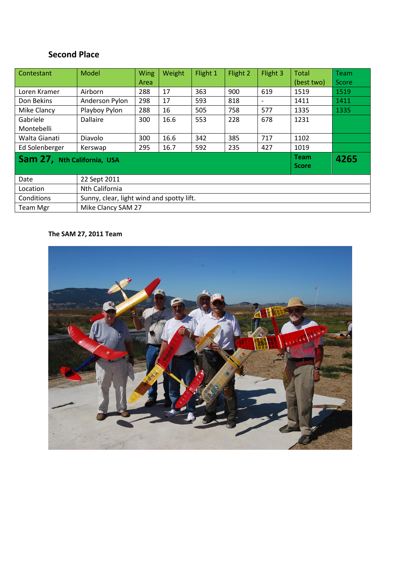# **Second Place**

| Contestant                  | Model                                     | <b>Wing</b>  | Weight | Flight 1 | Flight 2 | Flight 3                 | Total      | Team  |  |
|-----------------------------|-------------------------------------------|--------------|--------|----------|----------|--------------------------|------------|-------|--|
|                             |                                           | Area         |        |          |          |                          | (best two) | Score |  |
| Loren Kramer                | Airborn                                   | 288          | 17     | 363      | 900      | 619                      | 1519       | 1519  |  |
| Don Bekins                  | Anderson Pylon                            | 298          | 17     | 593      | 818      | $\overline{\phantom{a}}$ | 1411       | 1411  |  |
| Mike Clancy                 | Playboy Pylon                             | 288          | 16     | 505      | 758      | 577                      | 1335       | 1335  |  |
| Gabriele                    | <b>Dallaire</b>                           | 300          | 16.6   | 553      | 228      | 678                      | 1231       |       |  |
| Montebelli                  |                                           |              |        |          |          |                          |            |       |  |
| Walta Gianati               | Diavolo                                   | 300          | 16.6   | 342      | 385      | 717                      | 1102       |       |  |
| Ed Solenberger              | Kerswap                                   | 295          | 16.7   | 592      | 235      | 427                      | 1019       |       |  |
| Sam 27, Nth California, USA |                                           | <b>Team</b>  | 4265   |          |          |                          |            |       |  |
|                             |                                           | <b>Score</b> |        |          |          |                          |            |       |  |
| Date                        | 22 Sept 2011                              |              |        |          |          |                          |            |       |  |
| Location                    | Nth California                            |              |        |          |          |                          |            |       |  |
| Conditions                  | Sunny, clear, light wind and spotty lift. |              |        |          |          |                          |            |       |  |
| <b>Team Mgr</b>             | Mike Clancy SAM 27                        |              |        |          |          |                          |            |       |  |

### **The SAM 27, 2011 Team**

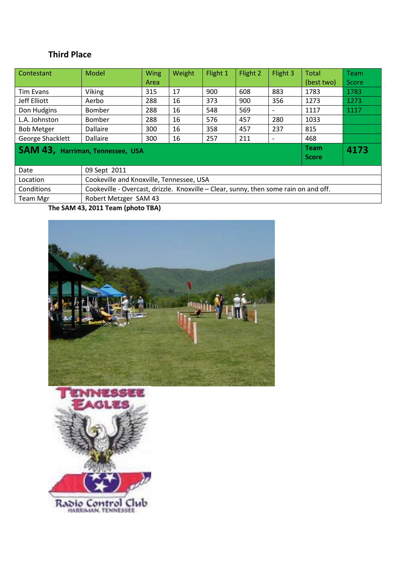## **Third Place**

| Contestant                       | Model                                    | <b>Wing</b>                                                                          | Weight | Flight 1 | Flight 2 | Flight 3                 | Total        | Team  |  |  |
|----------------------------------|------------------------------------------|--------------------------------------------------------------------------------------|--------|----------|----------|--------------------------|--------------|-------|--|--|
|                                  |                                          | Area                                                                                 |        |          |          |                          | (best two)   | Score |  |  |
| <b>Tim Evans</b>                 | Viking                                   | 315                                                                                  | 17     | 900      | 608      | 883                      | 1783         | 1783  |  |  |
| Jeff Elliott                     | Aerbo                                    | 288                                                                                  | 16     | 373      | 900      | 356                      | 1273         | 1273  |  |  |
| Don Hudgins                      | <b>Bomber</b>                            | 288                                                                                  | 16     | 548      | 569      |                          | 1117         | 1117  |  |  |
| L.A. Johnston                    | <b>Bomber</b>                            | 288                                                                                  | 16     | 576      | 457      | 280                      | 1033         |       |  |  |
| <b>Bob Metger</b>                | Dallaire                                 | 300                                                                                  | 16     | 358      | 457      | 237                      | 815          |       |  |  |
| George Shacklett                 | Dallaire                                 | 300                                                                                  | 16     | 257      | 211      | $\overline{\phantom{a}}$ | 468          |       |  |  |
| SAM 43, Harriman, Tennessee, USA |                                          |                                                                                      |        |          |          |                          |              | 4173  |  |  |
|                                  |                                          |                                                                                      |        |          |          |                          | <b>Score</b> |       |  |  |
| Date                             | 09 Sept 2011                             |                                                                                      |        |          |          |                          |              |       |  |  |
| Location                         | Cookeville and Knoxville, Tennessee, USA |                                                                                      |        |          |          |                          |              |       |  |  |
| Conditions                       |                                          | Cookeville - Overcast, drizzle. Knoxville - Clear, sunny, then some rain on and off. |        |          |          |                          |              |       |  |  |
| <b>Team Mgr</b>                  |                                          | Robert Metzger SAM 43                                                                |        |          |          |                          |              |       |  |  |

**The SAM 43, 2011 Team (photo TBA)**



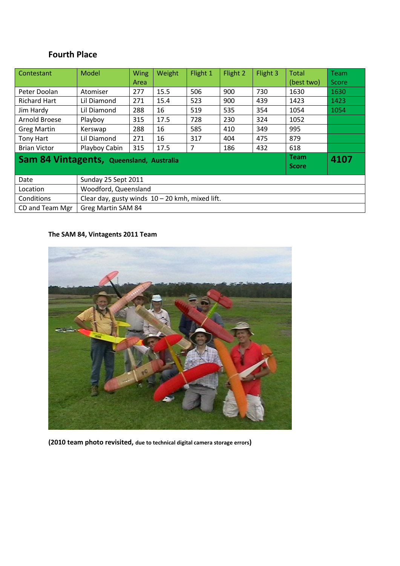### **Fourth Place**

| Contestant                                                      | Model                                             | <b>Wing</b> | Weight | Flight 1 | Flight 2 | Flight 3 | <b>Total</b> | <b>Team</b> |  |  |
|-----------------------------------------------------------------|---------------------------------------------------|-------------|--------|----------|----------|----------|--------------|-------------|--|--|
|                                                                 |                                                   | Area        |        |          |          |          | (best two)   | Score       |  |  |
| Peter Doolan                                                    | Atomiser                                          | 277         | 15.5   | 506      | 900      | 730      | 1630         | 1630        |  |  |
| <b>Richard Hart</b>                                             | Lil Diamond                                       | 271         | 15.4   | 523      | 900      | 439      | 1423         | 1423        |  |  |
| Jim Hardy                                                       | Lil Diamond                                       | 288         | 16     | 519      | 535      | 354      | 1054         | 1054        |  |  |
| Arnold Broese                                                   | Playboy                                           | 315         | 17.5   | 728      | 230      | 324      | 1052         |             |  |  |
| <b>Greg Martin</b>                                              | Kerswap                                           | 288         | 16     | 585      | 410      | 349      | 995          |             |  |  |
| Tony Hart                                                       | <b>Lil Diamond</b>                                | 271         | 16     | 317      | 404      | 475      | 879          |             |  |  |
| <b>Brian Victor</b>                                             | Playboy Cabin                                     | 315         | 17.5   | 7        | 186      | 432      | 618          |             |  |  |
| <b>Team</b><br>4107<br>Sam 84 Vintagents, Queensland, Australia |                                                   |             |        |          |          |          |              |             |  |  |
| <b>Score</b>                                                    |                                                   |             |        |          |          |          |              |             |  |  |
| Date                                                            | Sunday 25 Sept 2011                               |             |        |          |          |          |              |             |  |  |
| Location                                                        | Woodford, Queensland                              |             |        |          |          |          |              |             |  |  |
| Conditions                                                      | Clear day, gusty winds $10 - 20$ kmh, mixed lift. |             |        |          |          |          |              |             |  |  |
| CD and Team Mgr                                                 | Greg Martin SAM 84                                |             |        |          |          |          |              |             |  |  |

### **The SAM 84, Vintagents 2011 Team**



**(2010 team photo revisited, due to technical digital camera storage errors)**